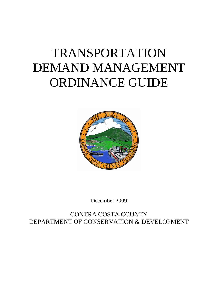# TRANSPORTATION DEMAND MANAGEMENT ORDINANCE GUIDE



December 2009

CONTRA COSTA COUNTY DEPARTMENT OF CONSERVATION & DEVELOPMENT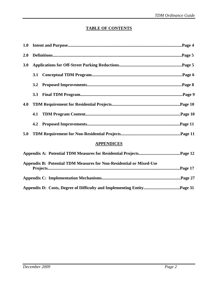# **TABLE OF CONTENTS**

| <b>2.0</b> |                   |
|------------|-------------------|
| 3.0        |                   |
|            | 3.1               |
|            | 3.2               |
|            | 3.3               |
| 4.0        |                   |
|            | 4.1               |
|            | 4.2               |
| 5.0        |                   |
|            | <b>APPENDICES</b> |
|            |                   |

| Appendix B: Potential TDM Measures for Non-Residential or Mixed-Use |  |
|---------------------------------------------------------------------|--|
|                                                                     |  |
|                                                                     |  |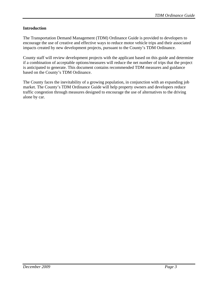# **Introduction**

The Transportation Demand Management (TDM) Ordinance Guide is provided to developers to encourage the use of creative and effective ways to reduce motor vehicle trips and their associated impacts created by new development projects, pursuant to the County's TDM Ordinance.

County staff will review development projects with the applicant based on this guide and determine if a combination of acceptable options/measures will reduce the net number of trips that the project is anticipated to generate. This document contains recommended TDM measures and guidance based on the County's TDM Ordinance.

The County faces the inevitability of a growing population, in conjunction with an expanding job market. The County's TDM Ordinance Guide will help property owners and developers reduce traffic congestion through measures designed to encourage the use of alternatives to the driving alone by car.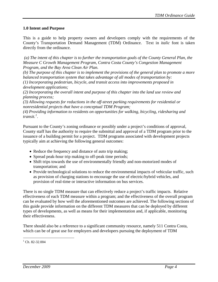## **1.0 Intent and Purpose**

This is a guide to help property owners and developers comply with the requirements of the County's Transportation Demand Management (TDM) Ordinance. Text in *italic* font is taken directly from the ordinance.

 *(a) The intent of this chapter is to further the transportation goals of the County General Plan, the Measure C Growth Management Program, Contra Costa County's Congestion Management Program, and the Bay Area Clean Air Plan.* 

*(b) The purpose of this chapter is to implement the provisions of the general plan to promote a more balanced transportation system that takes advantage of all modes of transportation by: (1) Incorporating pedestrian, bicycle, and transit access into improvements proposed in* 

*development applications;* 

*(2) Incorporating the overall intent and purpose of this chapter into the land use review and planning process;* 

*(3) Allowing requests for reductions in the off-street parking requirements for residential or nonresidential projects that have a conceptual TDM Program;* 

*(4) Providing information to residents on opportunities for walking, bicycling, ridesharing and transit.[1](#page-3-0) .* 

Pursuant to the County's zoning ordinance or possibly under a project's conditions of approval, County staff has the authority to require the submittal and approval of a TDM program prior to the issuance of a building permit for a project. TDM programs associated with development projects typically aim at achieving the following general outcomes:

- Reduce the frequency and distance of auto trip making;
- Spread peak-hour trip making to off-peak time periods;
- Shift trips towards the use of environmentally friendly and non-motorized modes of transportation; and
- Provide technological solutions to reduce the environmental impacts of vehicular traffic, such as provision of charging stations to encourage the use of electric/hybrid vehicles, and provision of real-time or interactive information on bus services.

There is no single TDM measure that can effectively reduce a project's traffic impacts. Relative effectiveness of each TDM measure within a program; and the effectiveness of the overall program can be evaluated by how well the aforementioned outcomes are achieved. The following sections of this guide provide information on the different TDM measures that can be deployed by different types of developments, as well as means for their implementation and, if applicable, monitoring their effectiveness.

There should also be a reference to a significant community resource, namely 511 Contra Costa, which can be of great use for employers and developers pursuing the deployment of TDM

 $\overline{a}$ 

<span id="page-3-0"></span> $1$  Ch. 82-32.004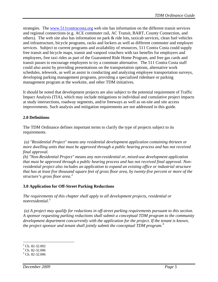strategies. The [www.511contracosta.org](http://www.511contracosta.org/) web site has information on the different transit services and regional connections (e.g. ACE commuter rail, AC Transit, BART, County Connection, and others). The web site also has information on park  $\&$  ride lots, taxicab services, clean fuel vehicles and infrastructure, bicycle programs, racks and lockers as well as different commuter and employer services. Subject to current programs and availability of resources, 511 Contra Costa could supply free transit and bicycle maps, transit and vanpool vouchers with tax benefits for employers and employees, free taxi rides as part of the Guaranteed Ride Home Program, and free gas cards and transit passes to encourage employees to try a commute alternative. The 511 Contra Costa staff could also assist by providing presentations on the transportation options, alternative work schedules, telework, as well as assist in conducting and analyzing employee transportation surveys, developing parking management programs, providing a specialized rideshare or parking management program at the worksite, and other TDM initiatives.

It should be noted that development projects are also subject to the potential requirement of Traffic Impact Analysis (TIA), which may include mitigations to individual and cumulative project impacts at study intersections, roadway segments, and/or freeways as well as on-site and site access improvements. Such analysis and mitigation requirements are not addressed in this guide.

# **2.0 Definitions**

The TDM Ordinance defines important terms to clarify the type of projects subject to its requirements.

 *(a) "Residential Project" means any residential development application containing thirteen or more dwelling units that must be approved through a public hearing process and has not received final approval.* 

*(b) "Non-Residential Project" means any non-residential or, mixed-use development application that must be approved through a public hearing process and has not received final approval. Nonresidential project also includes an application to expand an existing office or industrial structure that has at least five thousand square feet of gross floor area, by twenty-five percent or more of the structure's gross floor area.[2](#page-4-0)*

# **3.0 Application for Off-Street Parking Reductions**

*The requirements of this chapter shall apply to all development projects, residential or nonresidential.[3](#page-4-1)*

 *(a) A project may qualify for reductions in off-street parking requirements pursuant to this section. A sponsor requesting parking reductions shall submit a conceptual TDM program to the community development department concurrently with the application for the project. If the tenant is known, the project sponsor and tenant shall jointly submit the conceptual TDM program.[4](#page-4-2)*

<span id="page-4-0"></span><sup>&</sup>lt;sup>2</sup> Ch. 82-32.002

<span id="page-4-1"></span> $3$  Ch. 82-32.006

<span id="page-4-2"></span> $4$  Ch. 82-32.006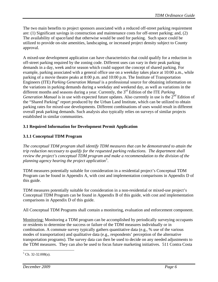The two main benefits to project sponsors associated with a reduced off-street parking requirement are: (1) Significant savings in construction and maintenance costs for off-street parking; and, (2) The availability of space/land that otherwise would be used for parking. Such space could be utilized to provide on-site amenities, landscaping, or increased project density subject to County approval.

A mixed-use development application can have characteristics that could qualify for a reduction in off-street parking required by the zoning code. Different uses can vary in their peak parking demands in a day, week and/or season which could support the concept of shared parking. For example, parking associated with a general office use on a weekday takes place at 10:00 a.m., while parking of a movie theatre peaks at 8:00 p.m. and 10:00 p.m. The Institute of Transportation Engineers (ITE) *Parking Generation Manual* is a professional source for obtaining information on the variations in parking demands during a weekday and weekend day, as well as variations in the different months and seasons during a year. Currently, the 3<sup>rd</sup> Edition of the ITE *Parking Generation Manual* is in use with expected future updates. Also currently in use is the 2<sup>nd</sup> Edition of the "Shared Parking" report produced by the Urban Land Institute, which can be utilized to obtain parking rates for mixed-use developments. Different combinations of uses would result in different overall peak parking demands. Such analysis also typically relies on surveys of similar projects established in similar communities.

# **3.1 Required Information for Development Permit Application**

# **3.1.1 Conceptual TDM Program**

*The conceptual TDM program shall identify TDM measures that can be demonstrated to attain the trip reduction necessary to qualify for the requested parking reductions. The department shall review the project's conceptual TDM program and make a recommendation to the division of the planning agency hearing the project application[5](#page-5-0) .* 

TDM measures potentially suitable for consideration in a residential project's Conceptual TDM Program can be found in Appendix A, with cost and implementation comparisons in Appendix D of this guide.

TDM measures potentially suitable for consideration in a non-residential or mixed-use project's Conceptual TDM Program can be found in Appendix B of this guide, with cost and implementation comparisons in Appendix D of this guide.

All Conceptual TDM Programs shall contain a monitoring, evaluation and enforcement component.

Monitoring: Monitoring a TDM program can be accomplished by periodically surveying occupants or residents to determine the success or failure of the TDM measures individually or in combination. A commute survey typically gathers quantitative data (e.g., % use of the various modes of transportation) and qualitative data (e.g., respondents' perception of the alternative transportation programs). The survey data can then be used to decide on any needed adjustments to the TDM measures. They can also be used to focus future marketing initiatives. 511 Contra Costa

<span id="page-5-0"></span> $5$  Ch. 32-32.008(a).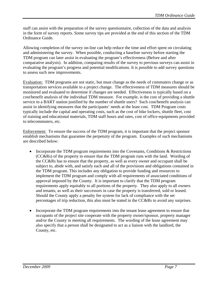staff can assist with the preparation of the survey questionnaire, collection of the data and analysis in the form of survey reports. Some survey tips are provided at the end of this section of the TDM Ordinance Guide.

Allowing completion of the survey on-line can help reduce the time and effort spent on circulating and administering the survey. When possible, conducting a baseline survey before starting the TDM program can later assist in evaluating the program's effectiveness (Before and after comparative analysis). In addition, comparing results of the survey to previous surveys can assist in evaluating the program's progress and potential modifications. It is possible to add survey questions to assess such new improvements.

Evaluation: TDM programs are not static, but must change as the needs of commuters change or as transportation services available to a project change. The effectiveness of TDM measures should be monitored and evaluated to determine if changes are needed. Effectiveness is typically based on a cost/benefit analysis of the individual TDM measure. For example, is the cost of providing a shuttle service to a BART station justified by the number of shuttle users? Such cost/benefit analysis can assist in identifying measures that the participants' needs at the least cost. TDM Program costs typically include the capital and operating costs, such as the cost of bike lockers, shuttle fleet, cost of training and educational materials, TDM staff hours and rates, cost of office equipments provided to telecommuters, etc.

Enforcement: To ensure the success of the TDM program, it is important that the project sponsor establish mechanisms that guarantee the perpetuity of the program. Examples of such mechanisms are described below:

- Incorporate the TDM program requirements into the Covenants, Conditions & Restrictions (CC&Rs) of the property to ensure that the TDM program runs with the land. Wording of the CC&Rs has to ensure that the property, as well as every owner and occupant shall be subject to, abide with, and satisfy each and all of the provisions and obligations contained in the TDM program. This includes any obligation to provide funding and resources to implement the TDM program and comply with all requirements of associated conditions of approval imposed by the County. It is important to clarify that the TDM program requirements apply equitably to all portions of the property. They also apply to all owners and tenants, as well as their successors in case the property is transferred, sold or leased. Should the County apply a penalty fee system for lack of compliance with the set percentages of trip reduction, this also must be stated in the CC&Rs to avoid any surprises.
- Incorporate the TDM program requirements into the tenant lease agreement to ensure that occupants of the project site cooperate with the property owner/sponsor, property manager and/or the County in meeting all requirements. The wording of the lease agreement may also specify that a person shall be designated to act as a liaison with the landlord, the County, etc.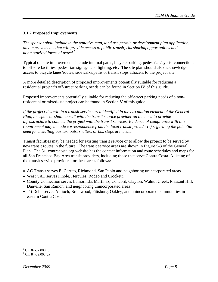# **3.1.2 Proposed Improvements**

*The sponsor shall include in the tentative map, land use permit, or development plan application, any improvements that will provide access to public transit, ridesharing opportunities and nonmotorized forms of travel.[6](#page-7-0)*

Typical on-site improvements include internal paths, bicycle parking, pedestrian/cyclist connections to off-site facilities, pedestrian signage and lighting, etc. The site plan should also acknowledge access to bicycle lanes/routes, sidewalks/paths or transit stops adjacent to the project site.

A more detailed description of proposed improvements potentially suitable for reducing a residential project's off-street parking needs can be found in Section IV of this guide.

Proposed improvements potentially suitable for reducing the off-street parking needs of a nonresidential or mixed-use project can be found in Section V of this guide.

*If the project lies within a transit service area identified in the circulation element of the General Plan, the sponsor shall consult with the transit service provider on the need to provide infrastructure to connect the project with the transit services. Evidence of compliance with this requirement may include correspondence from the local transit provider(s) regarding the potential need for installing bus turnouts, shelters or bus stops at the site.[7](#page-7-1)*

Transit facilities may be needed for existing transit service or to allow the project to be served by new transit routes in the future. The transit service areas are shown in Figure 5-3 of the General Plan. The 511contracosta.org website has the contact information and route schedules and maps for all San Francisco Bay Area transit providers, including those that serve Contra Costa. A listing of the transit service providers for these areas follows:

- AC Transit serves El Cerrito, Richmond, San Pablo and neighboring unincorporated areas.
- West CAT serves Pinole, Hercules, Rodeo and Crockett.
- County Connection serves Lamorinda, Martinez, Concord, Clayton, Walnut Creek, Pleasant Hill, Danville, San Ramon, and neighboring unincorporated areas.
- Tri Delta serves Antioch, Brentwood, Pittsburg, Oakley, and unincorporated communities in eastern Contra Costa.

 $\overline{a}$ 

<span id="page-7-0"></span> $6$  Ch. 82-32.008.(c)

<span id="page-7-1"></span> $7$  Ch. 84-32.008(d)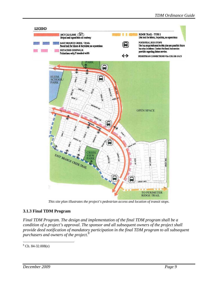

*This site plan illustrates the project's pedestrian access and location of transit stops.* 

# **3.1.3 Final TDM Program**

*Final TDM Program. The design and implementation of the final TDM program shall be a condition of a project's approval. The sponsor and all subsequent owners of the project shall provide deed notification of mandatory participation in the final TDM program to all subsequent purchasers and owners of the project.[8](#page-8-0)*

<span id="page-8-0"></span> $\overline{a}$  $8$  Ch. 84-32.008(e)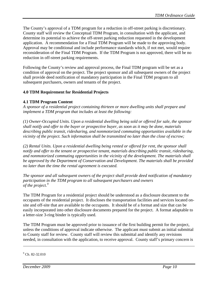The County's approval of a TDM program for a reduction in off-street parking is discretionary. County staff will review the Conceptual TDM Program, in consultation with the applicant, and determine its potential to achieve the off-street parking reduction requested in the development application. A recommendation for a Final TDM Program will be made to the approving body. Approval may be conditional and include performance standards which, if not met, would require reconsideration of the Final TDM Program. If the TDM Program is not approved, there will be no reduction in off-street parking requirements.

Following the County's review and approval process, the Final TDM program will be set as a condition of approval on the project. The project sponsor and all subsequent owners of the project shall provide deed notification of mandatory participation in the Final TDM program to all subsequent purchasers, owners and tenants of the project.

# **4.0 TDM Requirement for Residential Projects**

# **4.1 TDM Program Content**

*A sponsor of a residential project containing thirteen or more dwelling units shall prepare and implement a TDM program that includes at least the following:* 

*(1) Owner-Occupied Units. Upon a residential dwelling being sold or offered for sale, the sponsor shall notify and offer to the buyer or prospective buyer, as soon as it may be done, materials describing public transit, ridesharing, and nonmotorized commuting opportunities available in the vicinity of the project. Such information shall be transmitted no later than the close of escrow;* 

*(2) Rental Units. Upon a residential dwelling being rented or offered for rent, the sponsor shall notify and offer to the tenant or prospective tenant, materials describing public transit, ridesharing, and nonmotorized commuting opportunities in the vicinity of the development. The materials shall be approved by the Department of Conservation and Development. The materials shall be provided no later than the time the rental agreement is executed.* 

*The sponsor and all subsequent owners of the project shall provide deed notification of mandatory participation in the TDM program to all subsequent purchasers and owners of the project.[9](#page-9-0)*

The TDM Program for a residential project should be understood as a disclosure document to the occupants of the residential project. It discloses the transportation facilities and services located onsite and off-site that are available to the occupants. It should be of a format and size that can be easily incorporated into other disclosure documents prepared for the project. A format adaptable to a letter-size 3-ring binder is typically used.

The TDM Program must be approved prior to issuance of the first building permit for the project, unless the conditions of approval indicate otherwise. The applicant must submit an initial submittal to County staff for review. County staff will review this submittal and identify any revisions needed, in consultation with the application, to receive approval. County staff's primary concern is

1

<span id="page-9-0"></span> $9$  Ch. 82-32.010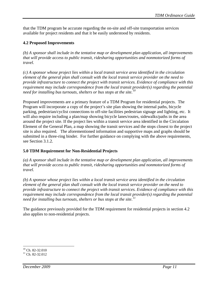that the TDM program be accurate regarding the on-site and off-site transportation services available for project residents and that it be easily understood by residents.

# **4.2 Proposed Improvements**

*(b) A sponsor shall include in the tentative map or development plan application, all improvements that will provide access to public transit, ridesharing opportunities and nonmotorized forms of travel.* 

*(c) A sponsor whose project lies within a local transit service area identified in the circulation element of the general plan shall consult with the local transit service provider on the need to provide infrastructure to connect the project with transit services. Evidence of compliance with this requirement may include correspondence from the local transit provider(s) regarding the potential need for installing bus turnouts, shelters or bus stops at the site.[10](#page-10-0)*

Proposed improvements are a primary feature of a TDM Program for residential projects. The Program will incorporate a copy of the project's site plan showing the internal paths, bicycle parking, pedestrian/cyclist connections to off-site facilities pedestrian signage and lighting, etc. It will also require including a plan/map showing bicycle lanes/routes, sidewalks/paths in the area around the project site. If the project lies within a transit service area identified in the Circulation Element of the General Plan, a map showing the transit services and the stops closest to the project site is also required. The aforementioned information and supportive maps and graphs should be submitted in a three-ring binder. For further guidance on complying with the above requirements, see Section 3.1.2.

# **5.0 TDM Requirement for Non-Residential Projects**

*(a) A sponsor shall include in the tentative map or development plan application, all improvements that will provide access to public transit, ridesharing opportunities and nonmotorized forms of travel.* 

*(b) A sponsor whose project lies within a local transit service area identified in the circulation element of the general plan shall consult with the local transit service provider on the need to provide infrastructure to connect the project with transit services. Evidence of compliance with this requirement may include correspondence from the local transit provider(s) regarding the potential need for installing bus turnouts, shelters or bus stops at the site.*<sup>*1</sup></sup></sup>* 

The guidance previously provided for the TDM requirement for residential projects in section 4.2 also applies to non-residential projects.

 $\overline{a}$  $10$  Ch. 82-32.010

<span id="page-10-1"></span><span id="page-10-0"></span> $11$  Ch. 82-32.012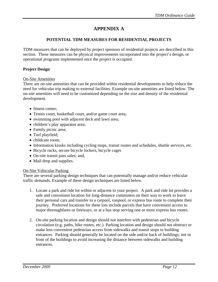# **APPENDIX A**

## **POTENTIAL TDM MEASURES FOR RESIDENTIAL PROJECTS**

TDM measures that can be deployed by project sponsors of residential projects are described in this section. These measures can be physical improvements incorporated into the project's design, or operational programs implemented once the project is occupied.

#### **Project Design**

#### On-Site Amenities

There are on-site amenities that can be provided within residential developments to help reduce the need for vehicular trip making to external facilities. Example on-site amenities are listed below. The on-site amenities will need to be customized depending on the size and density of the residential development.

- fitness center:
- Tennis court, basketball court, and/or game court area;
- swimming pool with adjacent deck and lawn area;
- children's play apparatus area;
- Family picnic area;
- Turf playfield;
- childcare room;
- Information kiosks including cycling maps, transit routes and schedules, shuttle services, etc.
- Bicycle racks, secure bicycle lockers, bicycle cages
- On-site transit pass sales; and,
- Mail drop and supplies.

#### On-Site Vehicular Parking

There are several parking design techniques that can potentially manage and/or reduce vehicular traffic demands. Example of these design techniques are listed below.

- 1. Locate a park and ride lot within or adjacent to your project. A park and ride lot provides a safe and convenient location for long-distance commuters on their way to work to leave their personal cars and transfer to a carpool, vanpool, or express bus route to complete their journey. Preferred locations for these lots include parcels that have convenient access to major thoroughfares or freeways, or at a bus stop serving one or more express bus routes.
- 2. On-site parking location and design should not interfere with pedestrian and bicycle circulation (e.g. paths, bike routes, etc.). Parking location and design should not obstruct or make less convenient pedestrian access from sidewalks and transit stops to building entrances. Parking should generally be located on the side and/or back of buildings; not in front of the buildings to avoid increasing the distance between sidewalks and building entrances.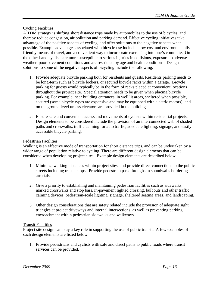# Cycling Facilities

A TDM strategy is shifting short distance trips made by automobiles to the use of bicycles, and thereby reduce congestion, air pollution and parking demand. Effective cycling initiatives take advantage of the positive aspects of cycling, and offer solutions to the negative aspects when possible. Example advantages associated with bicycle use include a low cost and environmentally friendly means of travel, and a convenient way to incorporate exercising into one's commute. On the other hand cyclists are more susceptible to serious injuries in collisions, exposure to adverse weather, poor pavement conditions and are restricted by age and health conditions. Design solutions to some of the negative aspects of bicycling include the following:

- 1. Provide adequate bicycle parking both for residents and guests. Residents parking needs to be long-term such as bicycle lockers, or secured bicycle racks within a garage. Bicycle parking for guests would typically be in the form of racks placed at convenient locations throughout the project site. Special attention needs to be given when placing bicycle parking. For example, near building entrances, in well lit areas, sheltered when possible, secured (some bicycle types are expensive and may be equipped with electric motors), and on the ground level unless elevators are provided in the buildings.
- 2. Ensure safe and convenient access and movements of cyclists within residential projects. Design elements to be considered include the provision of an interconnected web of shaded paths and crosswalks, traffic calming for auto traffic, adequate lighting, signage, and easily accessible bicycle parking.

## Pedestrian Facilities

Walking is an effective mode of transportation for short distance trips, and can be undertaken by a wider range of population relative to cycling. There are different design elements that can be considered when developing project sites. Example design elements are described below.

- 1. Minimize walking distances within project sites, and provide direct connections to the public streets including transit stops. Provide pedestrian pass-throughs in soundwalls bordering arterials.
- 2. Give a priority to establishing and maintaining pedestrian facilities such as sidewalks, marked crosswalks and stop bars, in-pavement lighted crossing, bulbouts and other traffic calming devices, pedestrian-scale lighting, signage, sheltered seating areas, and landscaping.
- 3. Other design considerations that are safety related include the provision of adequate sight triangles at project driveways and internal intersections, as well as preventing parking encroachment within pedestrian sidewalks and walkways.

## Transit Facilities

Project site design can play a key role in supporting the use of public transit. A few examples of such design elements are listed below.

1. Provide pedestrians and cyclists with safe and direct paths to public roads where transit services can be provided.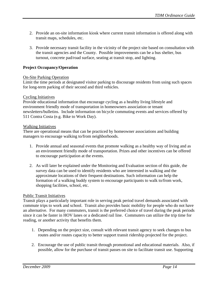- 2. Provide an on-site information kiosk where current transit information is offered along with transit maps, schedules, etc.
- 3. Provide necessary transit facility in the vicinity of the project site based on consultation with the transit agencies and the County. Possible improvements can be a bus shelter, bus turnout, concrete pad/road surface, seating at transit stop, and lighting.

## **Project Occupancy/Operation**

#### On-Site Parking Operation

Limit the time periods at designated visitor parking to discourage residents from using such spaces for long-term parking of their second and third vehicles.

#### Cycling Initiatives

Provide educational information that encourage cycling as a healthy living lifestyle and environment friendly mode of transportation in homeowners association or tenant newsletters/bulletins. Include information on bicycle commuting events and services offered by 511 Contra Costa (e.g. Bike to Work Day).

#### Walking Initiatives

There are operational means that can be practiced by homeowner associations and building managers to encourage walking to/from neighborhoods.

- 1. Provide annual and seasonal events that promote walking as a healthy way of living and as an environment friendly mode of transportation. Prizes and other incentives can be offered to encourage participation at the events.
- 2. As will later be explained under the Monitoring and Evaluation section of this guide, the survey data can be used to identify residents who are interested in walking and the approximate locations of their frequent destinations. Such information can help the formation of a walking buddy system to encourage participants to walk to/from work, shopping facilities, school, etc.

## Public Transit Initiatives

Transit plays a particularly important role in serving peak period travel demands associated with commute trips to work and school. Transit also provides basic mobility for people who do not have an alternative. For many commuters, transit is the preferred choice of travel during the peak periods since it can be faster in HOV lanes or a dedicated rail line. Commuters can utilize the trip time for reading, or another activity that benefits them.

- 1. Depending on the project size, consult with relevant transit agency to seek changes to bus routes and/or routes capacity to better support transit ridership projected for the project.
- 2. Encourage the use of public transit through promotional and educational materials. Also, if possible, allow for the purchase of transit passes on site to facilitate transit use. Supporting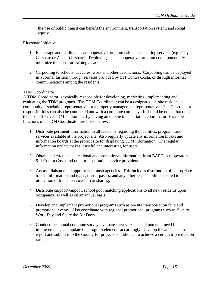the use of public transit can benefit the environment, transportation system, and social equity.

## Rideshare Initiatives

- 1. Encourage and facilitate a car cooperative program using a car sharing service. (e.g. City Carshare or Zipcar Carshare). Deploying such a cooperative program could potentially minimize the need for owning a car.
- 2. Carpooling to schools, daycares, work and other destinations. Carpooling can be deployed in a formal fashion through services provided by 511 Contra Costa, or through informal communications among the residents.

## TDM Coordinator

A TDM Coordinator is typically responsible for developing, marketing, implementing and evaluating the TDM programs. The TDM Coordinator can be a designated on-site resident, a community association representative, or a property management representative. The Coordinator's responsibilities can also be contracted out with a commute company. It should be noted that one of the most effective TDM measures is by having an on-site transportation coordinator. Example functions of a TDM Coordinator are listed below:

- 1. Distribute pertinent information to all residents regarding the facilities, programs and services available at the project site. Also regularly update any information kiosks and information boards at the project site for displaying TDM information. The regular information update makes it useful and interesting for users.
- 2. Obtain and circulate educational and promotional information from BART, bus operators, 511 Contra Costa and other transportation service providers.
- 3. Act as a liaison to all appropriate transit agencies. This includes distribution of appropriate transit information and maps, transit passes, and any other responsibilities related to the utilization of transit services or car sharing.
- 4. Distribute carpool/vanpool, school pool matching applications to all new residents upon occupancy, as well as on an annual basis.
- 5. Develop and implement promotional programs such as on-site transportation fairs and promotional events. Also coordinate with regional promotional programs such as Bike to Work Day and Spare the Air Days.
- 6. Conduct the annual commute survey, evaluate survey results and potential need for improvements, and update the program elements accordingly. Develop the annual status report and submit it to the County for projects conditioned to achieve a certain trip reduction rate.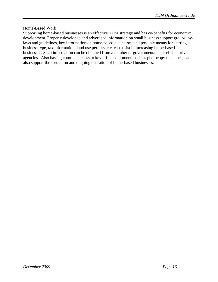## Home-Based Work

Supporting home-based businesses is an effective TDM strategy and has co-benefits for economic development. Properly developed and advertised information on small business support groups, bylaws and guidelines, key information on home-based businesses and possible means for starting a business type, tax information, land use permits, etc. can assist in increasing home-based businesses. Such information can be obtained from a number of governmental and reliable private agencies. Also having common access to key office equipment, such as photocopy machines, can also support the formation and ongoing operation of home-based businesses.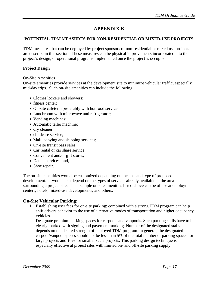# **APPENDIX B**

## **POTENTIAL TDM MEASURES FOR NON-RESIDENTIAL OR MIXED-USE PROJECTS**

TDM measures that can be deployed by project sponsors of non-residential or mixed use projects are describe in this section. These measures can be physical improvements incorporated into the project's design, or operational programs implemented once the project is occupied.

## **Project Design**

## On-Site Amenities

On-site amenities provide services at the development site to minimize vehicular traffic, especially mid-day trips. Such on-site amenities can include the following:

- Clothes lockers and showers;
- fitness center:
- On-site cafeteria preferably with hot food service;
- Lunchroom with microwave and refrigerator;
- Vending machines;
- Automatic teller machine;
- dry cleaner;
- childcare service;
- Mail, copying and shipping services;
- On-site transit pass sales;
- Car rental or car share service:
- Convenient and/or gift stores;
- Dental services; and,
- Shoe repair.

The on-site amenities would be customized depending on the size and type of proposed development. It would also depend on the types of services already available in the area surrounding a project site. The example on-site amenities listed above can be of use at employment centers, hotels, mixed-use developments, and others.

# **On-Site Vehicular Parking:**

- 1. Establishing user fees for on-site parking; combined with a strong TDM program can help shift drivers behavior to the use of alternative modes of transportation and higher occupancy vehicles.
- 2. Designate premium parking spaces for carpools and vanpools. Such parking stalls have to be clearly marked with signing and pavement marking. Number of the designated stalls depends on the desired strength of deployed TDM program. In general, the designated carpool/vanpool spaces should not be less than 5% of the total number of parking spaces for large projects and 10% for smaller scale projects. This parking design technique is especially effective at project sites with limited on- and off-site parking supply.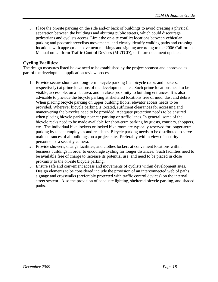3. Place the on-site parking on the side and/or back of buildings to avoid creating a physical separation between the buildings and abutting public streets, which could discourage pedestrians and cyclists access. Limit the on-site conflict locations between vehicular parking and pedestrian/cyclists movements, and clearly identify walking paths and crossing locations with appropriate pavement markings and signing according to the 2006 California Manual on Uniform Traffic Control Devices (MUTCD), or future document updates.

# **Cycling Facilities:**

The design measures listed below need to be established by the project sponsor and approved as part of the development application review process.

- 1. Provide secure short- and long-term bicycle parking (i.e. bicycle racks and lockers, respectively) at prime locations of the development sites. Such prime locations need to be visible, accessible, on a flat area, and in close proximity to building entrances. It is also advisable to provide the bicycle parking at sheltered locations free of mud, dust and debris. When placing bicycle parking on upper building floors, elevator access needs to be provided. Wherever bicycle parking is located, sufficient clearances for accessing and maneuvering the bicycles need to be provided. Adequate protection needs to be ensured when placing bicycle parking near car parking or traffic lanes. In general, some of the bicycle racks need to be made available for short-term parking by guests, couriers, shoppers, etc. The individual bike lockers or locked bike room are typically reserved for longer-term parking by tenant employees and residents. Bicycle parking needs to be distributed to serve main entrances of all buildings on a project site. Preferably within view of security personnel or a security camera.
- 2. Provide showers, change facilities, and clothes lockers at convenient locations within business buildings in order to encourage cycling for longer distances. Such facilities need to be available free of charge to increase its potential use, and need to be placed in close proximity to the on-site bicycle parking.
- 3. Ensure safe and convenient access and movements of cyclists within development sites. Design elements to be considered include the provision of an interconnected web of paths, signage and crosswalks (preferably protected with traffic control devices) on the internal street system. Also the provision of adequate lighting, sheltered bicycle parking, and shaded paths.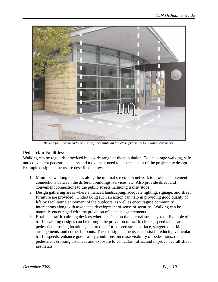

*Bicycle facilities need to be visible, accessible and in close proximity to building entrances.* 

# **Pedestrian Facilities:**

Walking can be regularly practiced by a wide range of the population. To encourage walking, safe and convenient pedestrian access and movement need to ensure as part of the project site design. Example design elements are described below.

- 1. Minimize walking distances along the internal street/path network to provide convenient connections between the different buildings, services, etc. Also provide direct and convenient connections to the public streets including transit stops.
- 2. Design gathering areas where enhanced landscaping, adequate lighting, signage, and street furniture are provided. Undertaking such an action can help in providing good quality of life by facilitating enjoyment of the outdoors, as well as encouraging community interactions along with associated development of sense of security. Walking can be naturally encouraged with the provision of such design elements.
- 3. Establish traffic calming devices where feasible on the internal street system. Example of traffic calming designs can be through the provision of traffic circles, speed tables at pedestrian crossing locations, textured and/or colored street surface, staggered parking arrangements, and corner bulbouts. These design elements can assist in reducing vehicular traffic speeds, enhance good safety conditions, increase visibility of pedestrians, reduce pedestrians crossing distances and exposure to vehicular traffic, and improve overall street aesthetics,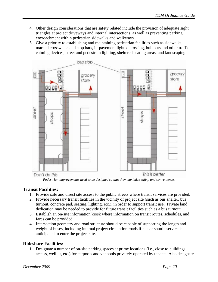- 4. Other design considerations that are safety related include the provision of adequate sight triangles at project driveways and internal intersections, as well as preventing parking encroachment within pedestrian sidewalks and walkways.
- 5. Give a priority to establishing and maintaining pedestrian facilities such as sidewalks, marked crosswalks and stop bars, in-pavement lighted crossing, bulbouts and other traffic calming devices, street and pedestrian lighting, sheltered seating areas, and landscaping.



*Pedestrian improvements need to be designed so that they maximize safety and convenience.* 

# **Transit Facilities:**

- 1. Provide safe and direct site access to the public streets where transit services are provided.
- 2. Provide necessary transit facilities in the vicinity of project site (such as bus shelter, bus turnout, concrete pad, seating, lighting, etc.), in order to support transit use. Private land dedication may be needed to provide for future transit facilities such as a bus turnout.
- 3. Establish an on-site information kiosk where information on transit routes, schedules, and fares can be provided.
- 4. Intersection geometry and road structure should be capable of supporting the length and weight of buses, including internal project circulation roads if bus or shuttle service is anticipated to enter the project site.

# **Rideshare Facilities:**

1. Designate a number of on-site parking spaces at prime locations (i.e., close to buildings access, well lit, etc.) for carpools and vanpools privately operated by tenants. Also designate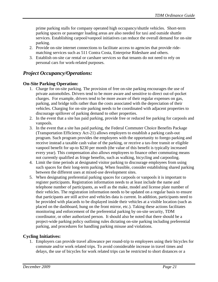prime parking stalls for company operated high occupancy/shuttle vehicles. Short-term parking spaces or passenger loading areas are also needed for taxi and outside shuttle services. Establishing carpool/vanpool initiatives can reduce the overall demand for on-site parking.

- 2. Provide on-site internet connections to facilitate access to agencies that provide ridematching services such as 511 Contra Costa, Enterprise Rideshare and others.
- 3. Establish on-site car rental or carshare services so that tenants do not need to rely on personal cars for work-related purposes.

# *Project Occupancy/Operations:*

# **On-Site Parking Operation:**

- 1. Charge for on-site parking. The provision of free on-site parking encourages the use of private automobiles. Drivers tend to be more aware and sensitive to direct out-of-pocket charges. For example, drivers tend to be more aware of their regular expenses on gas, parking, and bridge tolls rather than the costs associated with the depreciation of their vehicles. Charging for on-site parking needs to be coordinated with adjacent properties to discourage spillover of parking demand to other properties.
- 2. In the event that a site has paid parking, provide free or reduced fee parking for carpools and vanpools.
- 3. In the event that a site has paid parking, the Federal Commuter Choice Benefits Package (Transportation Efficiency Act-21) allows employers to establish a parking cash-out program. Such program provides the employees with the opportunity to forego parking and receive instead a taxable cash value of the parking, or receive a tax-free transit or eligible vanpool benefit for up-to \$230 per month (the value of this benefit is typically increased every year). This compensation also allows employees to finance other commuting means not currently qualified as fringe benefits, such as walking, bicycling and carpooling.
- 4. Limit the time periods at designated visitor parking to discourage employees from using such spaces for their long-term parking. When feasible, consider establishing shared parking between the different uses at mixed-use development sites.
- 5. When designating preferential parking spaces for carpools or vanpools it is important to register participants. Registration information needs to at least include the name and telephone number of participants, as well as the make, model and license plate number of their vehicles. The registration information needs to be updated on a regular basis to ensure that participants are still active and vehicles data is current. In addition, participants need to be provided with placards to be displayed inside their vehicles at a visible location (such as placed on the dashboard, hung on the front mirror, etc.). Taking these actions facilitates monitoring and enforcement of the preferential parking by on-site security, TDM coordinator, or other authorized person. It should also be noted that there should be a project-wide parking policy outlining rules dictating on-site parking including preferential parking, and procedures for handling parking misuse and violations.

# **Cycling Initiatives:**

1. Employers can provide travel allowance per round-trip to employees using their bicycles for commute and/or work related trips. To avoid considerable increase in travel times and delays, the use of bicycles for work related trips can be restricted to short distances or a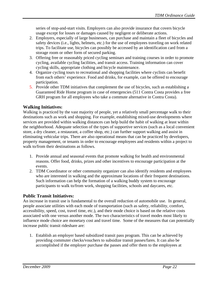series of stop-and-start visits. Employers can also provide insurance that covers bicycle usage except for losses or damages caused by negligent or deliberate actions.

- 2. Employers, especially of large businesses, can purchase and maintain a fleet of bicycles and safety devices (i.e., lights, helmets, etc.) for the use of employees traveling on work related trips. To facilitate use, bicycles can possibly be accessed by an identification card from a storage room or other form of secured parking.
- 3. Offering free or reasonably priced cycling seminars and training courses in order to promote cycling, available cycling facilities, and transit access. Training information can cover cycling skills, appropriate clothing and bicycle maintenance.
- 4. Organize cycling tours to recreational and shopping facilities where cyclists can benefit from each others' experience. Food and drinks, for example, can be offered to encourage participation.
- 5. Provide other TDM initiatives that complement the use of bicycles, such as establishing a Guaranteed Ride Home program in case of emergencies (511 Contra Costa provides a free GRH program for all employees who take a commute alternative in Contra Costa).

# **Walking Initiatives:**

Walking is practiced by the vast majority of people, yet a relatively small percentage walk to their destinations such as work and shopping. For example, establishing mixed-use developments where services are provided within walking distances can help build the habit of walking at least within the neighborhood. Adequate selection of the types of supportive services (such as a local convenient store, a dry cleaner, a restaurant, a coffee shop, etc.) can further support walking and assist in eliminating vehicular trips. There are also operational means that can be practiced by developers, property management, or tenants in order to encourage employees and residents within a project to walk to/from their destinations as follows.

- 1. Provide annual and seasonal events that promote walking for health and environmental reasons. Offer food, drinks, prizes and other incentives to encourage participation at the events.
- 2. TDM Coordinator or other community organizer can also identify residents and employees who are interested in walking and the approximate locations of their frequent destinations. Such information can help the formation of a walking buddy system to encourage participants to walk to/from work, shopping facilities, schools and daycares, etc.

# **Public Transit Initiatives:**

An increase in transit use is fundamental to the overall reduction of automobile use. In general, people associate utilities with each mode of transportation (such as safety, reliability, comfort, accessibility, speed, cost, travel time, etc.), and their mode choice is based on the relative costs associated with one versus another mode. The two characteristics of travel modes most likely to influence mode choice are monetary cost and travel time. Some of the measures that can potentially increase public transit rideshare are:

1. Establish an employer based subsidized transit pass program. This can be achieved by providing commuter checks/vouchers to subsidize transit passes/fares. It can also be accomplished if the employer purchase the passes and offer them to the employees at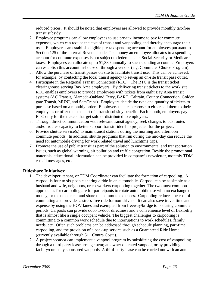reduced prices. It should be noted that employers are allowed to provide monthly tax-free transit subsidy.

- 2. Employee programs can allow employees to use pre-tax income to pay for commute expenses, which can reduce the cost of transit and vanpooling and thereby encourage their use. Employers can establish eligible pre-tax spending account for employees pursuant to Section 125 of the Internal Revenue code. The money an employee allocates to a spending account for commute expenses is not subject to federal, state, Social Security or Medicare taxes. Employees can allocate up to \$1,380 annually to such spending accounts. Employers can establish this account in-house or through a vendor (e.g. Commuter Choice Program).
- 3. Allow the purchase of transit passes on site to facilitate transit use. This can be achieved, for example, by contacting the local transit agency to set-up an on-site transit pass outlet.
- 4. Participate in the Regional Transit Connection (RTC). The RTC is the transit ticket clearinghouse serving Bay Area employers. By delivering transit tickets to the work site, RTC enables employers to provide employees with tickets from eight Bay Area transit systems (AC Transit, Alameda-Oakland Ferry, BART, Caltrain, County Connection, Golden gate Transit, MUNI, and SamTrans). Employers decide the type and quantity of tickets to purchase based on a monthly order. Employers then can choose to either sell them to their employees or offer them as part of a transit subsidy benefit. Each month, employers pay RTC only for the tickets that get sold or distributed to employees.
- 5. Through direct communication with relevant transit agency, seek changes to bus routes and/or routes capacity to better support transit ridership projected for the project.
- 6. Provide shuttle service(s) to main transit stations during the morning and afternoon commute periods. In addition, shuttle programs that run during the mid-day can reduce the need for automobile driving for work related travel and lunchtime trips.
- 7. Promote the use of public transit as part of the solution to environmental and transportation issues, such as global warming, air pollution and traffic congestion. Beside the promotional materials, educational information can be provided in company's newsletter, monthly TDM e-mail messages, etc.

# **Rideshare Initiatives:**

- 1. The developer, tenant, or TDM Coordinator can facilitate the formation of carpooling. A carpool is four to six people sharing a ride in an automobile. Carpool can be as simple as a husband and wife, neighbors, or co-workers carpooling together. The two most common approaches for carpooling are for participants to rotate automobile use with no exchange of money, or to use one car and share the commute expenses. Carpooling reduces the cost of commuting and provides a stress-free ride for non-drivers. It can also save travel time and expense by using the HOV lanes and exempted from freeway/bridge tolls during commute periods. Carpools can provide door-to-door directness and a convenience level of flexibility that is almost like a single occupant vehicle. The biggest challenges to carpooling is committing to a common work schedule due to interruptions to work schedules, family needs, etc. Often such problems can be addressed through schedule planning, part-time carpooling, and the provision of a back-up service such as a Guaranteed Ride Home (currently available through 511 Contra Costa).
- 2. A project sponsor can implement a vanpool program by subsidizing the cost of vanpooling through a third party lease arrangement; an owner operated vanpool, or by providing facility/company sponsored vanpools. A third-party lease can be carried out with an auto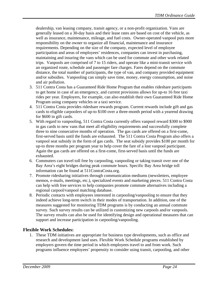dealership, van leasing company, transit agency, or a non-profit organization. Vans are generally leased on a 30-day basis and their lease rates are based on cost of the vehicle, as well as insurance, maintenance, mileage, and fuel costs. Owner-operated vanpool puts more responsibility on the owner to organize all financial, maintenance and insurance requirements. Depending on the size of the company, expected level of employee participation and areas of employees' residences, companies can invest in purchasing, maintaining and insuring the vans which can be used for commute and other work related trips. Vanpools are comprised of 7 to 15 riders, and operate like a mini-transit service with an organized route, schedule and passenger fare charges. Fares depend on the commute distance, the total number of participants, the type of van, and company provided equipment and/or subsidies. Vanpooling can simply save time, money, energy consumption, and noise and air pollution.

- 3. 511 Contra Costa has a Guaranteed Ride Home Program that enables rideshare participants to get home in case of an emergency, and current provisions allows for up-to 16 free taxi rides per year. Employers, for example, can also establish their own Guaranteed Ride Home Program using company vehicles or a taxi service.
- 4. 511 Contra Costa provides rideshare rewards program. Current rewards include gift and gas cards to eligible carpoolers of up-to \$100 over a three-month period with a yearend drawing for \$600 in gift cards.
- 5. With regard to vanpooling, 511 Contra Costa currently offers vanpool reward \$300 to \$900 in gas cards to new vans that meet all eligibility requirements and successfully complete three to nine consecutive months of operation. The gas cards are offered on a first-come, first-served basis until the funds are exhausted. The 511 Contra Costa Program also offers a vanpool seat subsidy in the form of gas cards. The seat subsidy provides \$100 per month for up-to three months per program year to help cover the fare of a lost vanpool participant. Again the gas cards are offered on a first-come, first-served basis until the funds are exhausted.
- 6. Commuters can travel toll free by carpooling, vanpooling or taking transit over one of the Bay Area's eight bridges during peak commute hours. Specific Bay Area bridge toll information can be found at 511ContraCosta.org.
- 7. Promote ridesharing initiatives through communication mediums (newsletters, employee memos, e-mails, meetings, etc.), specialized events and marketing pieces. 511 Contra Costa can help with free services to help companies promote commute alternatives including a regional carpool/vanpool matching database.
- 8. Periodic contacts with employees interested in carpooling/vanpooling to ensure that they indeed achieve long-term switch in their modes of transportation. In addition, one of the measures suggested for monitoring TDM programs is by conducting an annual commute survey. Such survey results can be utilized in customizing new carpools and/or vanpools. The survey results can also be used for identifying design and operational measures that can support and increase participation in carpooling/vanpooling.

# **Flexible Work Schedules:**

1. These TDM initiatives are appropriate for business type developments, such as office and research and development land uses. Flexible Work Schedule programs established by employers govern the time period in which employees travel to and from work. Such programs influence employees' propensity to consider using transit, carpooling, and other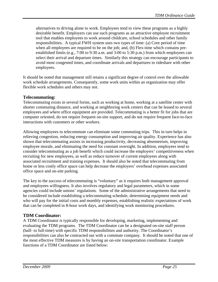alternatives to driving alone to work. Employees tend to view these programs as a highly desirable benefit. Employers can use such programs as an attractive employee recruitment tool that enables employees to work around childcare, school schedules and other family responsibilities. A typical FWH system uses two types of time: (a) Core period of time when all employees are required to be on the job; and, (b) Flex-time which contains preestablished limits (e.g., 7:00 to 9:30 a.m. and 3:00 to 5:30 p.m.) from which employees can select their arrival and departure times. Similarly this strategy can encourage participants to avoid most congested times, and coordinate arrivals and departures to rideshare with other employees.

It should be noted that management still retains a significant degree of control over the allowable work schedule arrangements. Consequently, some work units within an organization may offer flexible work schedules and others may not.

# **Telecommuting:**

Telecommuting exists in several forms, such as working at home, working at a satellite center with shorter commuting distance, and working at neighboring work centers that can be leased to several employees and where office equipment are provided. Telecommuting is a better fit for jobs that are computer oriented, do not require frequent on-site support, and do not require frequent face-to-face interactions with customers or other workers.

Allowing employees to telecommute can eliminate some commuting trips. This in turn helps in relieving congestion, reducing energy consumption and improving air quality. Experience has also shown that telecommuting assists in increasing productivity, decreasing absenteeism, improving employee morale, and eliminating the need for constant oversight. In addition, employees tend to consider telecommuting as a job benefit which could increase the employers' competitiveness when recruiting for new employees, as well as reduce turnover of current employees along with associated recruitment and training expenses. It should also be noted that telecommuting from home or less costly office space can help decrease the employers' overhead expenses associated office space and on-site parking.

The key to the success of telecommuting is "voluntary" as it requires both management approval and employees willingness. It also involves regulatory and legal parameters, which in some agencies could include unions' regulations. Some of the administrative arrangements that need to be considered include establishing a telecommuting schedule, determining equipment needs and who will pay for the initial costs and monthly expenses, establishing realistic expectations of work that can be completed in 8-hour work days, and identifying work monitoring procedures.

# **TDM Coordinator:**

A TDM Coordinator is typically responsible for developing, marketing, implementing and evaluating the TDM programs. The TDM Coordinator can be a designated on-site staff person (half- to full-time) with specific TDM responsibilities and authority. The Coordinator's responsibilities can also be contracted out with a commute company. It should be noted that one of the most effective TDM measures is by having an on-site transportation coordinator. Example functions of a TDM Coordinator are listed below: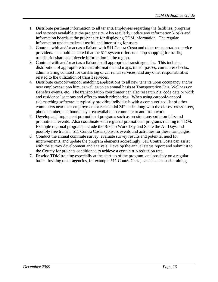- 1. Distribute pertinent information to all tenants/employees regarding the facilities, programs and services available at the project site. Also regularly update any information kiosks and information boards at the project site for displaying TDM information. The regular information update makes it useful and interesting for users.
- 2. Contract with and/or act as a liaison with 511 Contra Costa and other transportation service providers. It should be noted that the 511 system offers one-stop shopping for traffic, transit, rideshare and bicycle information in the region.
- 3. Contract with and/or act as a liaison to all appropriate transit agencies. This includes distribution of appropriate transit information and maps, transit passes, commuter checks, administering contract for carsharing or car rental services, and any other responsibilities related to the utilization of transit services.
- 4. Distribute carpool/vanpool matching applications to all new tenants upon occupancy and/or new employees upon hire, as well as on an annual basis at Transportation Fair, Wellness or Benefits events, etc. The transportation coordinator can also research ZIP code data or work and residence locations and offer to match ridesharing. When using carpool/vanpool ridematching software, it typically provides individuals with a computerized list of other commuters near their employment or residential ZIP code along with the closest cross street, phone number, and hours they area available to commute to and from work.
- 5. Develop and implement promotional programs such as on-site transportation fairs and promotional events. Also coordinate with regional promotional programs relating to TDM. Example regional programs include the Bike to Work Day and Spare the Air Days and possibly free transit. 511 Contra Costa sponsors events and activities for these campaigns.
- 6. Conduct the annual commute survey, evaluate survey results and potential need for improvements, and update the program elements accordingly. 511 Contra Costa can assist with the survey development and analysis. Develop the annual status report and submit it to the County for projects conditioned to achieve a certain trip reduction rate.
- 7. Provide TDM training especially at the start-up of the program, and possibly on a regular basis. Inviting other agencies, for example 511 Contra Costa, can enhance such training.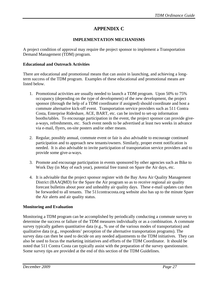# **APPENDIX C**

## **IMPLEMENTATION MECHANISMS**

A project condition of approval may require the project sponsor to implement a Transportation Demand Management (TDM) program.

## **Educational and Outreach Activities**

There are educational and promotional means that can assist in launching, and achieving a longterm success of the TDM program. Examples of these educational and promotional means are listed below.

- 1. Promotional activities are usually needed to launch a TDM program. Upon 50% to 75% occupancy (depending on the type of development) of the new development, the project sponsor (through the help of a TDM coordinator if assigned) should coordinate and host a commute alternative kick-off event. Transportation service providers such as 511 Contra Costa, Enterprise Rideshare, ACE, BART, etc. can be invited to set-up information booths/tables. To encourage participation in the event, the project sponsor can provide givea-ways, refreshments, etc. Such event needs to be advertised at least two weeks in advance via e-mail, flyers, on-site posters and/or other means.
- 2. Regular, possibly annual, commute event or fair is also advisable to encourage continued participation and to approach new tenants/owners. Similarly, proper event notification is needed. It is also advisable to invite participation of transportation service providers and to provide some give-a-ways.
- 3. Promote and encourage participation in events sponsored by other agencies such as Bike to Work Day (in May of each year), potential free transit on Spare the Air days, etc.
- 4. It is advisable that the project sponsor register with the Bay Area Air Quality Management District (BAAQMD) for the Spare the Air program so as to receive regional air quality forecast bulletins about poor and unhealthy air quality days. These e-mail updates can then be forwarded to all tenants. The 511contracosta.org website also has up to the minute Spare the Air alerts and air quality status.

# **Monitoring and Evaluation**

Monitoring a TDM program can be accomplished by periodically conducting a commute survey to determine the success or failure of the TDM measures individually or as a combination. A commute survey typically gathers quantitative data (e.g., % use of the various modes of transportation) and qualitative data (e.g., respondents' perception of the alternative transportation programs). The survey data can then be used to decide on any needed adjustments to the TDM initiatives. They can also be used to focus the marketing initiatives and efforts of the TDM Coordinator. It should be noted that 511 Contra Costa can typically assist with the preparation of the survey questionnaire. Some survey tips are provided at the end of this section of the TDM Guidelines.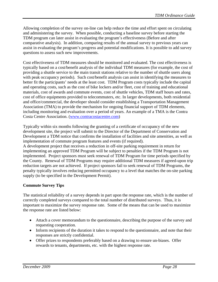Allowing completion of the survey on-line can help reduce the time and effort spent on circulating and administering the survey. When possible, conducting a baseline survey before starting the TDM program can later assist in evaluating the program's effectiveness (Before and after comparative analysis). In addition, comparing results of the annual survey to previous years can assist in evaluating the program's progress and potential modifications. It is possible to add survey questions to assess such new improvements.

Cost effectiveness of TDM measures should be monitored and evaluated. The cost effectiveness is typically based on a cost/benefit analysis of the individual TDM measures (for example, the cost of providing a shuttle service to the main transit stations relative to the number of shuttle users along with peak occupancy periods). Such cost/benefit analysis can assist in identifying the measures to better fit the participants' needs at the least cost. TDM Program costs typically include the capital and operating costs, such as the cost of bike lockers and/or fleet, cost of training and educational materials, cost of awards and commute events, cost of shuttle vehicles, TDM staff hours and rates, cost of office equipments provided to telecommuters, etc. In larger developments, both residential and office/commercial, the developer should consider establishing a Transportation Management Association (TMA) to provide the mechanism for ongoing financial support of TDM elements, including monitoring and evaluation over a period of years. An example of a TMA is the Contra Costa Centre Association. ([www.contracostacentre.com](http://www.contracostacentre.com/))

Typically within six months following the granting of a certificate of occupancy of the new development site, the project will submit to the Director of the Department of Conservation and Development a TDM notice that confirms the installation of facilities and site amenities, as well as implementation of commute program features and events (if required).

A development project that receives a reduction in off-site parking requirement in return for implementing an approved TDM Program will be subject to penalties if the TDM Program is not implemented. Project sponsors must seek renewal of TDM Program for time periods specified by the County. Renewal of TDM Programs may require additional TDM measures if agreed-upon trip reduction targets are not achieved. If project sponsors fail to seek renewal of TDM Programs, the penalty typically involves reducing permitted occupancy to a level that matches the on-site parking supply (to be specified in the Development Permit).

# **Commute Survey Tips**

The statistical reliability of a survey depends in part upon the response rate, which is the number of correctly completed surveys compared to the total number of distributed surveys. Thus, it is important to maximize the survey response rate. Some of the means that can be used to maximize the response rate are listed below:

- Attach a cover memorandum to the questionnaire, describing the purpose of the survey and requesting cooperation.
- Inform recipients of the duration it takes to respond to the questionnaire, and note that their responses are strictly confidential.
- Offer prizes to respondents preferably based on a drawing to ensure un-biases. Offer rewards to tenants, departments, etc. with the highest response rate.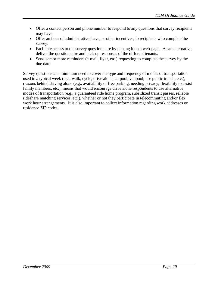- Offer a contact person and phone number to respond to any questions that survey recipients may have.
- Offer an hour of administrative leave, or other incentives, to recipients who complete the survey.
- Facilitate access to the survey questionnaire by posting it on a web-page. As an alternative, deliver the questionnaire and pick-up responses of the different tenants.
- Send one or more reminders (e-mail, flyer, etc.) requesting to complete the survey by the due date.

Survey questions at a minimum need to cover the type and frequency of modes of transportation used in a typical week (e.g., walk, cycle, drive alone, carpool, vanpool, use public transit, etc.), reasons behind driving alone (e.g., availability of free parking, needing privacy, flexibility to assist family members, etc.), means that would encourage drive alone respondents to use alternative modes of transportation (e.g., a guaranteed ride home program, subsidized transit passes, reliable rideshare matching services, etc.), whether or not they participate in telecommuting and/or flex work hour arrangements. It is also important to collect information regarding work addresses or residence ZIP codes.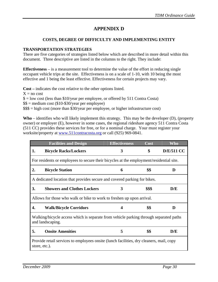# **APPENDIX D**

# **COSTS, DEGREE OF DIFFICULTY AND IMPLEMENTING ENTITY**

#### **TRANSPORTATION STRATEGIES**

There are five categories of strategies listed below which are described in more detail within this document. Three descriptive are listed in the columns to the right. They include:

**Effectiveness** – is a measurement tool to determine the value of the effort in reducing single occupant vehicle trips at the site. Effectiveness is on a scale of 1-10, with 10 being the most effective and 1 being the least effective. Effectiveness for certain projects may vary.

**Cost –** indicates the cost relative to the other options listed.

 $X = no cost$ 

 $$ =$  low cost (less than \$10/year per employee, or offered by 511 Contra Costa)

\$\$ = medium cost (\$10-\$30/year per employee)

 $$$ \$\$\$ = high cost (more than \$30/year per employee, or higher infrastructure cost)

**Who** – identifies who will likely implement this strategy. This may be the developer (D), (property owner) or employer (E), however in some cases, the regional rideshare agency 511 Contra Costa (511 CC) provides these services for free, or for a nominal charge. Your must register your worksite/property at [www.511contracosta.org](http://www.511contracosta.org/) or call (925) 969-0841.

|    | <b>Facilities and Design</b>                                                                              | <b>Effectiveness</b> | Cost   | Who               |
|----|-----------------------------------------------------------------------------------------------------------|----------------------|--------|-------------------|
| 1. | <b>Bicycle Racks/Lockers</b>                                                                              | 3                    | \$     | <b>D/E/511 CC</b> |
|    | For residents or employees to secure their bicycles at the employment/residential site.                   |                      |        |                   |
| 2. | <b>Bicycle Station</b>                                                                                    | 6                    | \$\$   | D                 |
|    | A dedicated location that provides secure and covered parking for bikes.                                  |                      |        |                   |
| 3. | <b>Showers and Clothes Lockers</b>                                                                        | 3                    | \$\$\$ | D/E               |
|    | Allows for those who walk or bike to work to freshen up upon arrival.                                     |                      |        |                   |
| 4. | <b>Walk/Bicycle Corridors</b>                                                                             | 4                    | \$\$   | D                 |
|    | Walking/bicycle access which is separate from vehicle parking through separated paths<br>and landscaping. |                      |        |                   |
| 5. | <b>Onsite Amenities</b>                                                                                   | 5                    | \$\$   | D/E               |
|    | Provide retail services to employees onsite (lunch facilities, dry cleaners, mail, copy<br>store, etc.).  |                      |        |                   |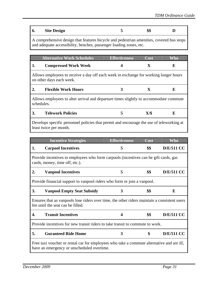| 6. | <b>Site Design</b> | ሰ ሰ<br>DД |  |
|----|--------------------|-----------|--|
|    |                    |           |  |

A comprehensive design that features bicycle and pedestrian amenities, covered bus stops and adequate accessibility, benches, passenger loading zones, etc.

|    | <b>Alternative Work Schedules</b>                                                                                | <b>Effectiveness</b> | Cost | Who |
|----|------------------------------------------------------------------------------------------------------------------|----------------------|------|-----|
| 1. | <b>Compressed Work Week</b>                                                                                      | 4                    | X    | E   |
|    | Allows employees to receive a day off each week in exchange for working longer hours<br>on other days each week. |                      |      |     |
| 2. | <b>Flexible Work Hours</b>                                                                                       | 3                    | X    | E   |
|    | Allows employees to alter arrival and departure times slightly to accommodate commute<br>schedules.              |                      |      |     |
| 3. | <b>Telework Policies</b>                                                                                         | 5                    | X/\$ | Е   |
|    |                                                                                                                  |                      |      |     |

Develops specific personnel policies that permit and encourage the use of teleworking at least twice per month.

|    | <b>Incentive Strategies</b>                                                                                                             | <b>Effectiveness</b> | $\overline{\text{Cost}}$ | <b>Who</b>        |
|----|-----------------------------------------------------------------------------------------------------------------------------------------|----------------------|--------------------------|-------------------|
| 1. | <b>Carpool Incentives</b>                                                                                                               | 5                    | \$\$                     | <b>D/E/511 CC</b> |
|    | Provide incentives to employees who form carpools (incentives can be gift cards, gas<br>cards, money, time off, etc.).                  |                      |                          |                   |
| 2. | <b>Vanpool Incentives</b>                                                                                                               | 5                    | \$\$                     | <b>D/E/511 CC</b> |
|    | Provide financial support to vanpool riders who form or join a vanpool.                                                                 |                      |                          |                   |
| 3. | <b>Vanpool Empty Seat Subsidy</b>                                                                                                       | 3                    | \$\$                     | E                 |
|    | Ensures that as vanpools lose riders over time, the other riders maintain a consistent users<br>fee until the seat can be filled.       |                      |                          |                   |
| 4. | <b>Transit Incentives</b>                                                                                                               | 4                    | \$\$                     | <b>D/E/511 CC</b> |
|    | Provide incentives for new transit riders to take transit to commute to work.                                                           |                      |                          |                   |
| 5. | <b>Guranteed Ride Home</b>                                                                                                              | 3                    | \$                       | <b>D/E/511 CC</b> |
|    | Free taxi voucher or rental car for employees who take a commute alternative and are ill,<br>have an emergency or unscheduled overtime. |                      |                          |                   |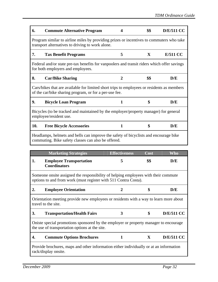| 6.  | <b>Commute Alternative Program</b>                                                                                                                   | 4              | \$\$         | <b>D/E/511 CC</b> |
|-----|------------------------------------------------------------------------------------------------------------------------------------------------------|----------------|--------------|-------------------|
|     | Program similar to airline miles by providing prizes or incentives to commuters who take<br>transport alternatives to driving to work alone.         |                |              |                   |
| 7.  | <b>Tax Benefit Programs</b>                                                                                                                          | 5              | $\mathbf{X}$ | <b>E/511 CC</b>   |
|     | Federal and/or state pre-tax benefits for vanpoolers and transit riders which offer savings<br>for both employers and employees.                     |                |              |                   |
| 8.  | <b>Car/Bike Sharing</b>                                                                                                                              | $\overline{2}$ | \$\$         | D/E               |
|     | Cars/bikes that are available for limited short trips to employees or residents as members<br>of the car/bike sharing program, or for a per-use fee. |                |              |                   |
| 9.  | <b>Bicycle Loan Program</b>                                                                                                                          | 1              | \$           | D/E               |
|     | Bicycles (to be tracked and maintained by the employer/property manager) for general<br>employee/resident use.                                       |                |              |                   |
| 10. | <b>Free Bicycle Accessories</b>                                                                                                                      | 1              | \$           | D/E               |
|     | Headlamps, helmets and bells can improve the safety of bicyclists and encourage bike<br>commuting. Bike safety classes can also be offered.          |                |              |                   |

|    | <b>Marketing Strategies</b>                                                                                                                           | <b>Effectiveness</b> | Cost | Who               |
|----|-------------------------------------------------------------------------------------------------------------------------------------------------------|----------------------|------|-------------------|
| 1. | <b>Employee Transportation</b><br><b>Coordinators</b>                                                                                                 | 5                    | \$\$ | D/E               |
|    | Someone onsite assigned the responsibility of helping employees with their commute<br>options to and from work (must register with 511 Contra Costa). |                      |      |                   |
| 2. | <b>Employee Orientation</b>                                                                                                                           | $\mathbf{2}$         | \$   | D/E               |
|    | Orientation meeting provide new employees or residents with a way to learn more about<br>travel to the site.                                          |                      |      |                   |
| 3. | <b>Transportation/Health Fairs</b>                                                                                                                    | 3                    | \$   | <b>D/E/511 CC</b> |
|    | Oniste special promotions sponsored by the employer or property manager to encourage<br>the use of transportation options at the site.                |                      |      |                   |
| 4. | <b>Commute Options Brochures</b>                                                                                                                      | 1                    | X    | <b>D/E/511 CC</b> |
|    | Provide brochures, maps and other information either individually or at an information<br>rack/display onsite.                                        |                      |      |                   |